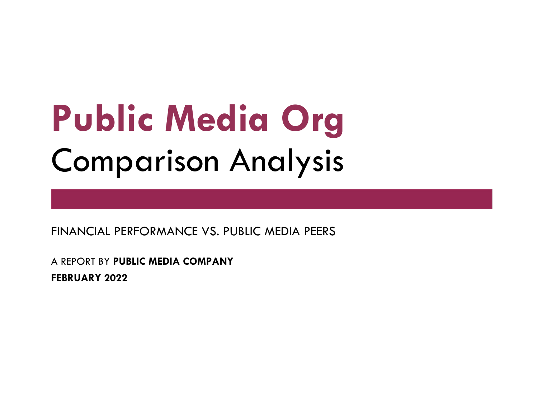# Public Media Org **Comparison Analysis**

FINANCIAL PERFORMANCE VS. PUBLIC MEDIA PEERS

A REPORT BY PUBLIC MEDIA COMPANY FEBRUARY 2022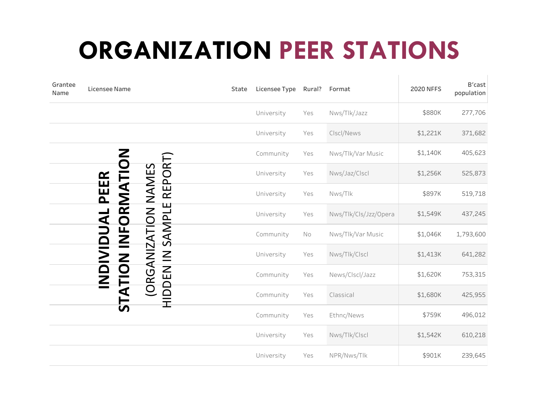## ORGANIZATION PEER STATIONS

| Grantee<br>Name | Licensee Name        |                                        | State | Licensee Type | Rural?   | Format                | <b>2020 NFFS</b> | B'cast<br>population |
|-----------------|----------------------|----------------------------------------|-------|---------------|----------|-----------------------|------------------|----------------------|
|                 |                      |                                        |       | University    | Yes      | Nws/Tlk/Jazz          | \$880K           | 277,706              |
|                 |                      |                                        |       | University    | Yes      | Clscl/News            | \$1,221K         | 371,682              |
|                 |                      |                                        |       | Community     | Yes      | Nws/Tlk/Var Music     | \$1,140K         | 405,623              |
|                 |                      | <b>REPORT</b>                          |       | University    | Yes      | Nws/Jaz/Clscl         | \$1,256K         | 525,873              |
|                 | INFORMATI<br>PEER    |                                        |       | University    | Yes      | Nws/Tlk               | \$897K           | 519,718              |
|                 |                      |                                        |       | University    | Yes      | Nws/Tlk/Cls/Jzz/Opera | \$1,549K         | 437,245              |
|                 | <b>IDUAL</b>         |                                        |       | Community     | $\rm No$ | Nws/Tlk/Var Music     | \$1,046K         | 1,793,600            |
|                 |                      | ORGANIZATION NAMES<br>HIDDEN IN SAMPLE |       | University    | Yes      | Nws/Tlk/Clscl         | \$1,413K         | 641,282              |
|                 | <b>ATION</b><br>NDIV |                                        |       | Community     | Yes      | News/Clscl/Jazz       | \$1,620K         | 753,315              |
|                 |                      |                                        |       | Community     | Yes      | Classical             | \$1,680K         | 425,955              |
|                 | <u>່ທ</u>            |                                        |       | Community     | Yes      | Ethnc/News            | \$759K           | 496,012              |
|                 |                      |                                        |       | University    | Yes      | Nws/Tlk/Clscl         | \$1,542K         | 610,218              |
|                 |                      |                                        |       | University    | Yes      | NPR/Nws/Tlk           | \$901K           | 239,645              |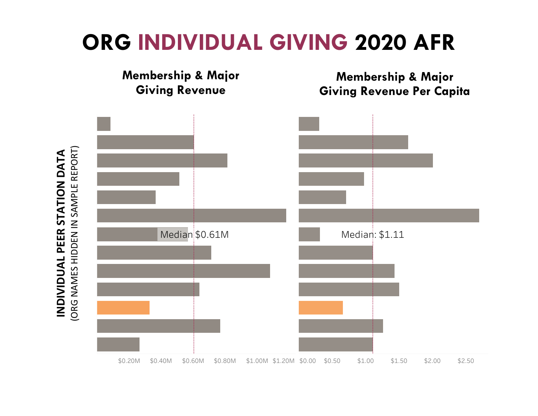## ORG INDIVIDUAL GIVING 2020 AFR

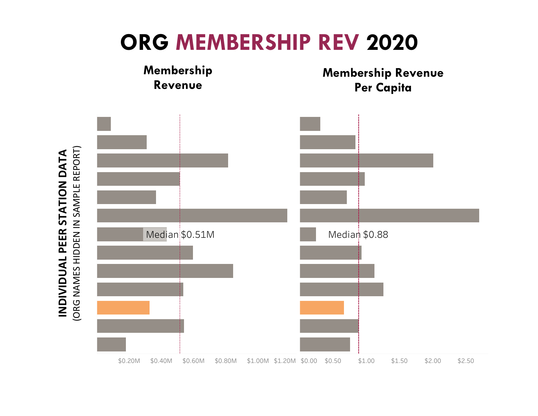## ORG MEMBERSHIP REV 2020

![](_page_3_Figure_1.jpeg)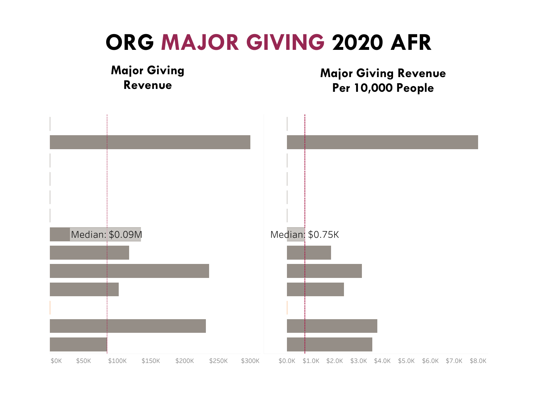![](_page_4_Figure_0.jpeg)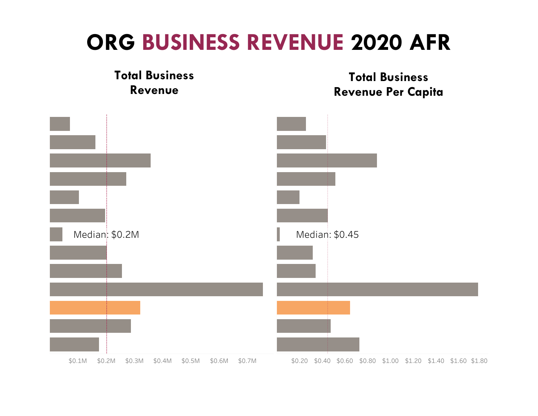## ORG BUSINESS REVENUE 2020 AFR

![](_page_5_Figure_1.jpeg)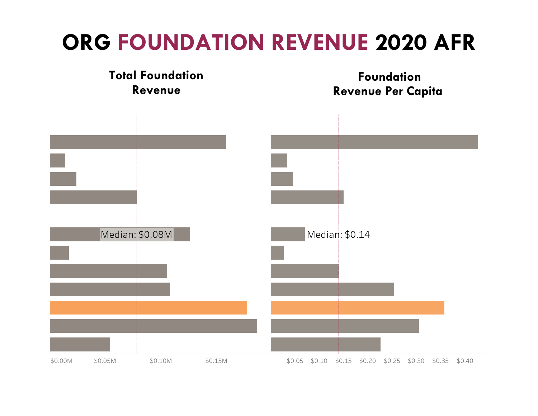## ORG FOUNDATION REVENUE 2020 AFR

![](_page_6_Figure_1.jpeg)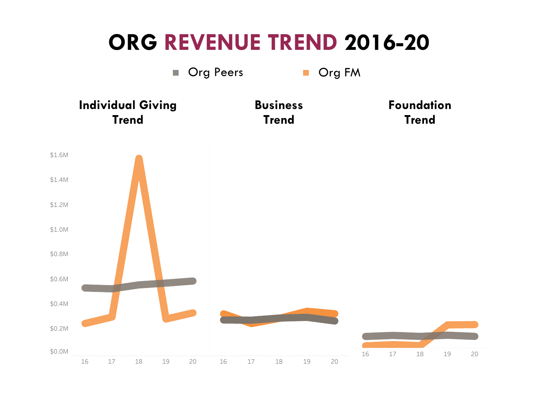![](_page_7_Figure_0.jpeg)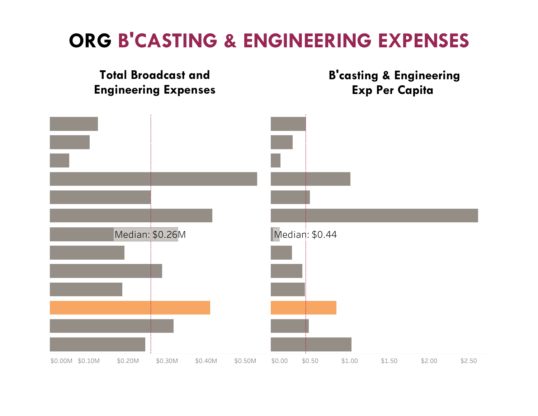#### ORG B'CASTING & ENGINEERING EXPENSES

![](_page_8_Figure_1.jpeg)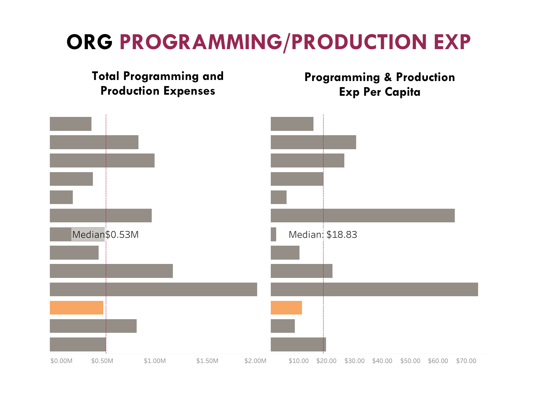## ORG PROGRAMMING/PRODUCTION EXP

![](_page_9_Figure_1.jpeg)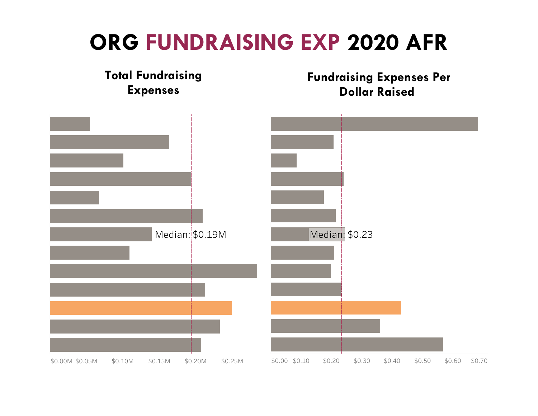## ORG FUNDRAISING EXP 2020 AFR

![](_page_10_Figure_1.jpeg)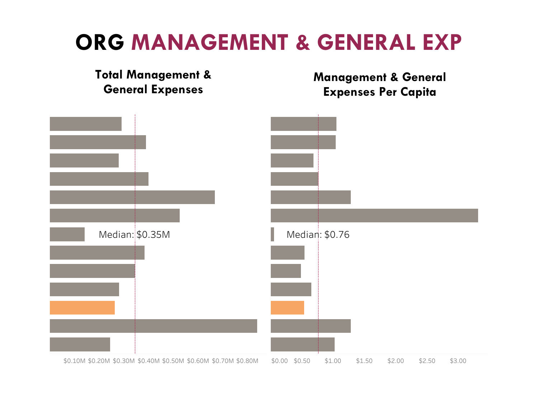## ORG MANAGEMENT & GENERAL EXP

![](_page_11_Figure_1.jpeg)